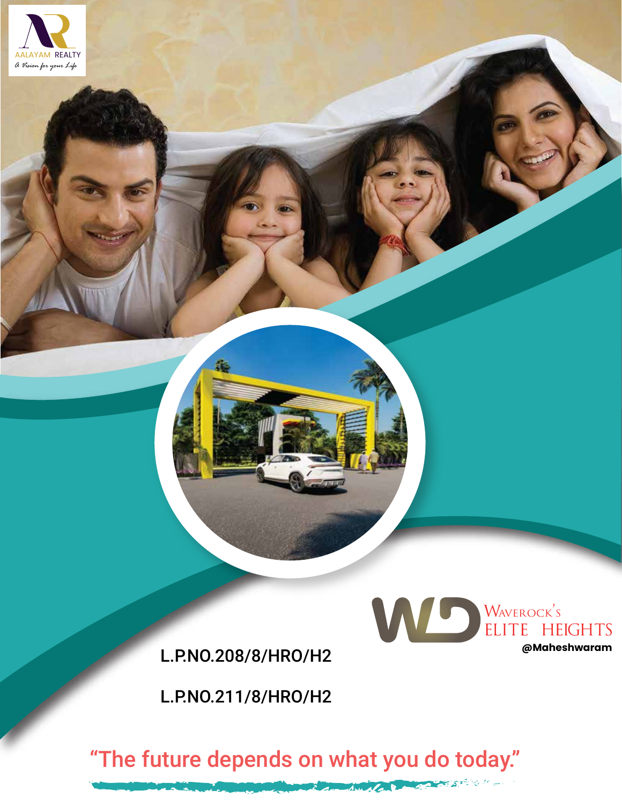

L.P.NO.208/8/HRO/H2

L.P.NO.211/8/HRO/H2



"The future depends on what you do today."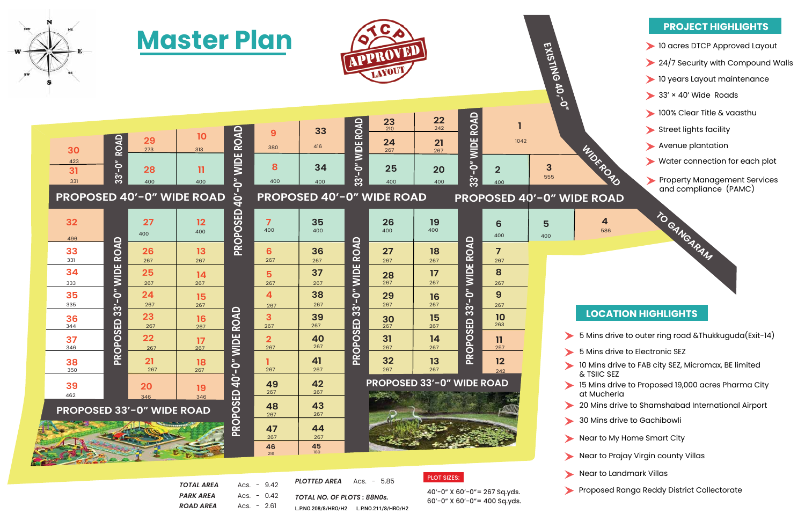

**MARS** 21

## **LOCATION HIGHLIGHTS**

## **PROJECT HIGHLIGHTS**

5 Mins drive to outer ring road &Thukkuguda(Exit-14)

5 Mins drive to Electronic SEZ



- 10 Mins drive to FAB city SEZ, Micromax, BE limited & TSIIC SEZ
- 15 Mins drive to Proposed 19,000 acres Pharma City at Mucherla
- 20 Mins drive to Shamshabad International Airport
- 30 Mins drive to Gachibowli
- Near to My Home Smart City
- Near to Prajay Virgin county Villas
- Near to Landmark Villas
- Proposed Ranga Reddy District Collectorate





| <b>TOTAL AREA</b> | $Accs. - 9.42$ |
|-------------------|----------------|
| PARK AREA         | $Accs. - 0.42$ |
| <b>ROAD AREA</b>  | $Accs. - 2.61$ |

 $\mathbb{R}^n$ 

*TOTAL NO. OF PLOTS : 88N0s. PLOTTED AREA* Acs. - 5.85 L.P.NO.208/8/HRO/H2 L.P.NO.211/8/HRO/H2 PLOT SIZES:

40'-0" X 60'-0"= 267 Sq.yds. 60'-0" X 60'-0"= 400 Sq.yds.

|                                               |                            |                                     | <u>Master Pian</u>                                                   |                                   | APPROVED<br>LAYOUT.                               |                                     |                            |                                                                                |                                     | EXISTING 40,-0"            |                                                                  |                       |                                                         |
|-----------------------------------------------|----------------------------|-------------------------------------|----------------------------------------------------------------------|-----------------------------------|---------------------------------------------------|-------------------------------------|----------------------------|--------------------------------------------------------------------------------|-------------------------------------|----------------------------|------------------------------------------------------------------|-----------------------|---------------------------------------------------------|
| 30<br>423<br>31<br>331                        | <b>ROAD</b><br>$33' - 0''$ | 29<br>273<br>28<br>400              | 10<br>313<br>$\mathbf{1}$<br>400<br><b>PROPOSED 40'-0" WIDE ROAD</b> | O" WIDE ROAD<br>$\mathbf{Q}$      | 9<br>380<br>8<br>400                              | 33<br>416<br>34<br>400              | 33'-0" WIDE ROAD           | $\frac{23}{210}$<br>24<br>267<br>25<br>400<br><b>PROPOSED 40'-0" WIDE ROAD</b> | 22<br>242<br>21<br>267<br>20<br>400 | ROAD<br>33'-0" WIDE        | 1042<br>$\overline{2}$<br>400<br><b>PROPOSED 40'-0" WIDE ROA</b> | $\mathbf{3}$<br>555   | <b>WIDNEY'S</b>                                         |
| 32<br>496<br>33<br>331                        | ROAD                       | 27<br>400<br>26                     | 12<br>400<br>13                                                      | PROPOSED                          | $\overline{7}$<br>400<br>6<br>267                 | 35<br>400<br>36                     | $\Omega$<br>ROAI           | 26<br>400<br>27                                                                | <b>19</b><br>400<br>18              | <b>ROAD</b>                | 6<br>400<br>$\overline{7}$                                       | 5<br>400              | 4<br>586                                                |
| 34<br>333<br>35<br>335                        | <b>WIDE</b><br>$33' - 0''$ | 267<br>25<br>267<br>24<br>267       | 267<br>14<br>267<br>15<br>267                                        |                                   | 5<br>267<br>$\overline{4}$<br>267                 | 267<br>37<br>267<br>38<br>267       | <b>WIDE</b><br>$33' - 0''$ | 267<br>28<br>267<br>29<br>267                                                  | 267<br>17<br>267<br>16<br>267       | <b>WIDE</b><br>$33' - 0''$ | 267<br>8<br>267<br>9<br>267                                      |                       | LOCA                                                    |
| 36<br>344<br>37<br>346<br>38<br>350           | SED<br>PROPO:              | 23<br>267<br>22<br>267<br>21<br>267 | 16<br>267<br>$\frac{17}{267}$<br>18<br>267                           | <b>ROAD</b><br><b>WIDE</b><br>−O− | 3<br>267<br>$\overline{\mathbf{2}}$<br>267<br>267 | 39<br>267<br>40<br>267<br>41<br>267 | <b>GED</b><br>PROPO:       | 30<br>267<br>31<br>267<br>32<br>267                                            | 15<br>267<br>14<br>267<br>13<br>267 | SED<br>PROPO:              | 10<br>263<br>$\mathbf{1}$<br>257<br>12<br>242                    |                       | 5 Mins d<br>5 Mins d<br>10 Mins c                       |
| 39<br>462<br><b>PROPOSED 33'-0" WIDE ROAD</b> |                            | <b>20</b><br>346                    | 19<br>346                                                            | $\dot{Q}$<br><b>PROPOSED</b>      | 49<br>267<br>48<br>267                            | 42<br>267<br>43<br>267<br>44        |                            | <b>PROPOSED 33'-0" WIDE ROAD</b>                                               |                                     |                            |                                                                  |                       | & TSIIC S<br>15 Mins c<br>at Much<br>20 Mins<br>30 Mins |
|                                               |                            |                                     |                                                                      |                                   | 47<br>267<br>46                                   | 267<br>45                           |                            |                                                                                |                                     |                            |                                                                  | $\blacktriangleright$ | Near to M                                               |

**189**